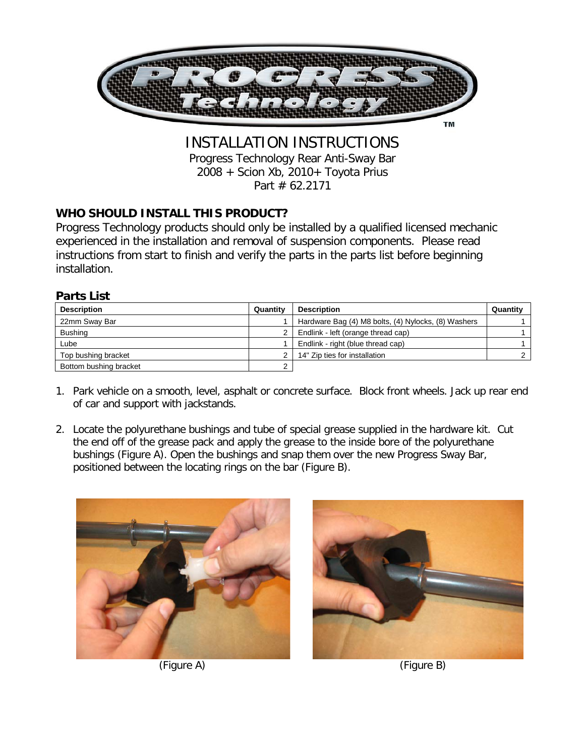

INSTALLATION INSTRUCTIONS Progress Technology Rear Anti-Sway Bar 2008 + Scion Xb, 2010+ Toyota Prius Part # 62.2171

## **WHO SHOULD INSTALL THIS PRODUCT?**

Progress Technology products should only be installed by a qualified licensed mechanic experienced in the installation and removal of suspension components. Please read instructions from start to finish and verify the parts in the parts list before beginning installation.

## **Parts List**

| <b>Description</b>     | Quantity | <b>Description</b>                                  | Quantity |
|------------------------|----------|-----------------------------------------------------|----------|
| 22mm Sway Bar          |          | Hardware Bag (4) M8 bolts, (4) Nylocks, (8) Washers |          |
| <b>Bushing</b>         |          | Endlink - left (orange thread cap)                  |          |
| Lube                   |          | Endlink - right (blue thread cap)                   |          |
| Top bushing bracket    | ◠        | 14" Zip ties for installation                       |          |
| Bottom bushing bracket | C        |                                                     |          |

- 1. Park vehicle on a smooth, level, asphalt or concrete surface. Block front wheels. Jack up rear end of car and support with jackstands.
- 2. Locate the polyurethane bushings and tube of special grease supplied in the hardware kit. Cut the end off of the grease pack and apply the grease to the inside bore of the polyurethane bushings (Figure A). Open the bushings and snap them over the new Progress Sway Bar, positioned between the locating rings on the bar (Figure B).





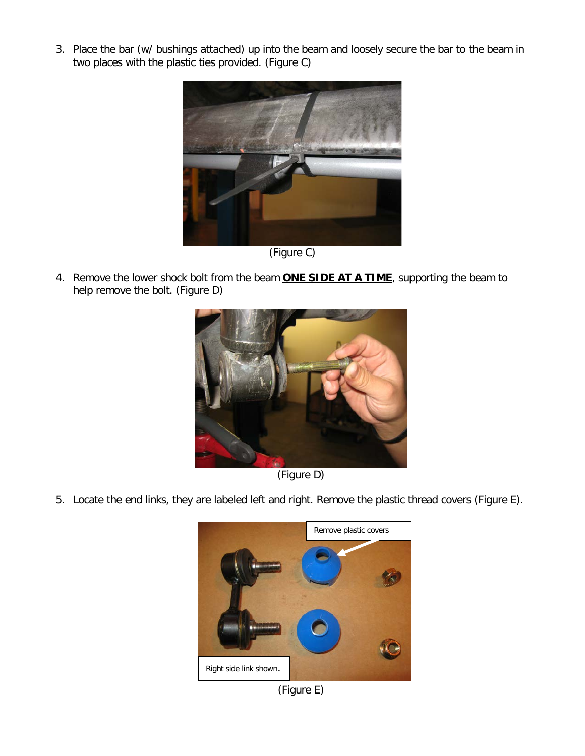3. Place the bar (w/ bushings attached) up into the beam and loosely secure the bar to the beam in two places with the plastic ties provided. (Figure C)



(Figure C)

4. Remove the lower shock bolt from the beam **ONE SIDE AT A TIME**, supporting the beam to help remove the bolt. (Figure D)



(Figure D)

5. Locate the end links, they are labeled left and right. Remove the plastic thread covers (Figure E).



(Figure E)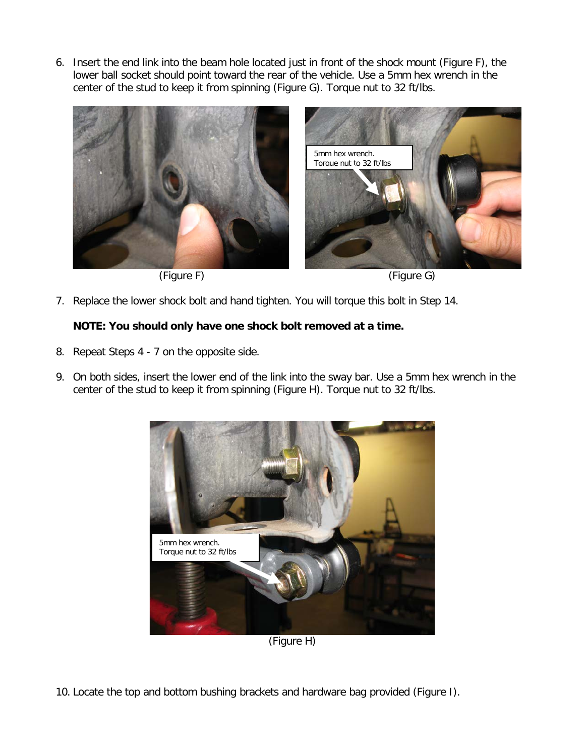6. Insert the end link into the beam hole located just in front of the shock mount (Figure F), the lower ball socket should point toward the rear of the vehicle. Use a 5mm hex wrench in the center of the stud to keep it from spinning (Figure G). Torque nut to 32 ft/lbs.





7. Replace the lower shock bolt and hand tighten. You will torque this bolt in Step 14.

## **NOTE: You should only have one shock bolt removed at a time.**

- 8. Repeat Steps 4 7 on the opposite side.
- 9. On both sides, insert the lower end of the link into the sway bar. Use a 5mm hex wrench in the center of the stud to keep it from spinning (Figure H). Torque nut to 32 ft/lbs.



(Figure H)

10. Locate the top and bottom bushing brackets and hardware bag provided (Figure I).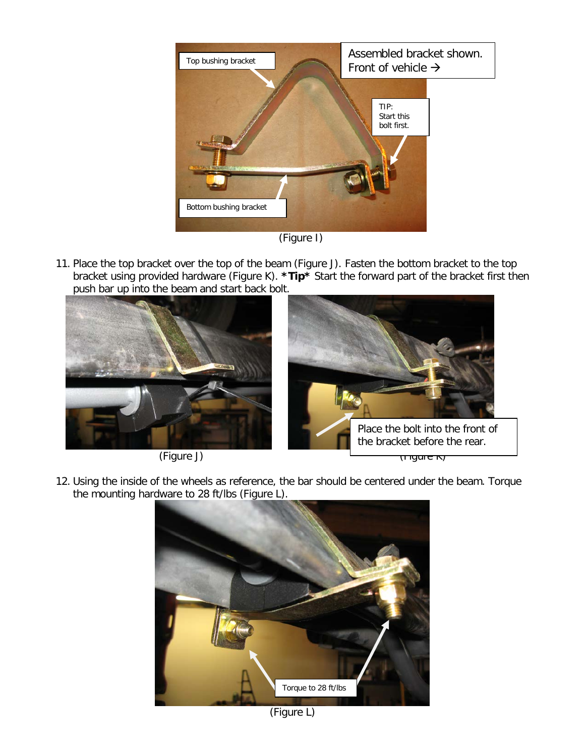

(Figure I)

11. Place the top bracket over the top of the beam (Figure J). Fasten the bottom bracket to the top bracket using provided hardware (Figure K). **\*Tip\*** Start the forward part of the bracket first then push bar up into the beam and start back bolt.





12. Using the inside of the wheels as reference, the bar should be centered under the beam. Torque the mounting hardware to 28 ft/lbs (Figure L).



(Figure L)